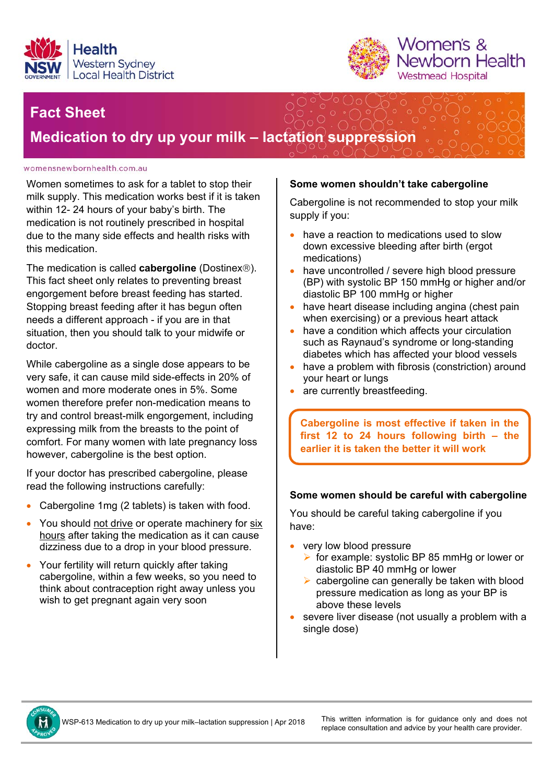



## **Fact Sheet**

**Medication to dry up your milk – lactation suppression** 

#### womensnewbornhealth.com.au

Women sometimes to ask for a tablet to stop their milk supply. This medication works best if it is taken within 12- 24 hours of your baby's birth. The medication is not routinely prescribed in hospital due to the many side effects and health risks with this medication.

The medication is called **cabergoline** (Dostinex<sup>®</sup>). This fact sheet only relates to preventing breast engorgement before breast feeding has started. Stopping breast feeding after it has begun often needs a different approach - if you are in that situation, then you should talk to your midwife or doctor.

While cabergoline as a single dose appears to be very safe, it can cause mild side-effects in 20% of women and more moderate ones in 5%. Some women therefore prefer non-medication means to try and control breast-milk engorgement, including expressing milk from the breasts to the point of comfort. For many women with late pregnancy loss however, cabergoline is the best option.

If your doctor has prescribed cabergoline, please read the following instructions carefully:

- Cabergoline 1mg (2 tablets) is taken with food.
- You should not drive or operate machinery for six hours after taking the medication as it can cause dizziness due to a drop in your blood pressure.
- Your fertility will return quickly after taking cabergoline, within a few weeks, so you need to think about contraception right away unless you wish to get pregnant again very soon

## **Some women shouldn't take cabergoline**

Cabergoline is not recommended to stop your milk supply if you:

- have a reaction to medications used to slow down excessive bleeding after birth (ergot medications)
- have uncontrolled / severe high blood pressure (BP) with systolic BP 150 mmHg or higher and/or diastolic BP 100 mmHg or higher
- have heart disease including angina (chest pain when exercising) or a previous heart attack
- have a condition which affects your circulation such as Raynaud's syndrome or long-standing diabetes which has affected your blood vessels
- have a problem with fibrosis (constriction) around your heart or lungs
- are currently breastfeeding.

**Cabergoline is most effective if taken in the first 12 to 24 hours following birth – the earlier it is taken the better it will work** 

### **Some women should be careful with cabergoline**

You should be careful taking cabergoline if you have:

- very low blood pressure
	- $\triangleright$  for example: systolic BP 85 mmHg or lower or diastolic BP 40 mmHg or lower
	- $\triangleright$  cabergoline can generally be taken with blood pressure medication as long as your BP is above these levels
- severe liver disease (not usually a problem with a single dose)